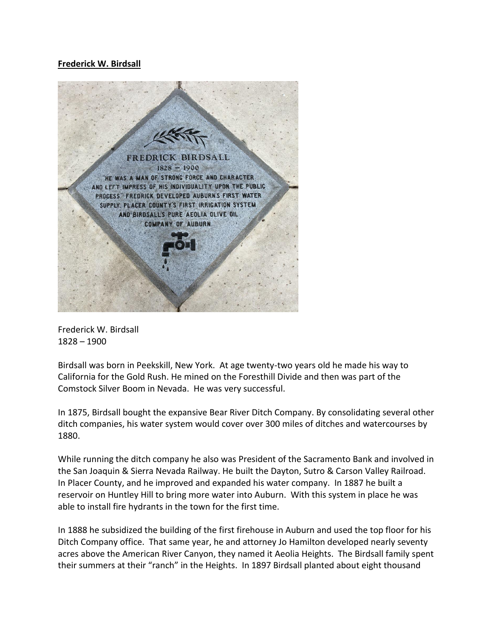## **Frederick W. Birdsall**



Frederick W. Birdsall 1828 – 1900

Birdsall was born in Peekskill, New York. At age twenty-two years old he made his way to California for the Gold Rush. He mined on the Foresthill Divide and then was part of the Comstock Silver Boom in Nevada. He was very successful.

In 1875, Birdsall bought the expansive Bear River Ditch Company. By consolidating several other ditch companies, his water system would cover over 300 miles of ditches and watercourses by 1880.

While running the ditch company he also was President of the Sacramento Bank and involved in the San Joaquin & Sierra Nevada Railway. He built the Dayton, Sutro & Carson Valley Railroad. In Placer County, and he improved and expanded his water company. In 1887 he built a reservoir on Huntley Hill to bring more water into Auburn. With this system in place he was able to install fire hydrants in the town for the first time.

In 1888 he subsidized the building of the first firehouse in Auburn and used the top floor for his Ditch Company office. That same year, he and attorney Jo Hamilton developed nearly seventy acres above the American River Canyon, they named it Aeolia Heights. The Birdsall family spent their summers at their "ranch" in the Heights. In 1897 Birdsall planted about eight thousand